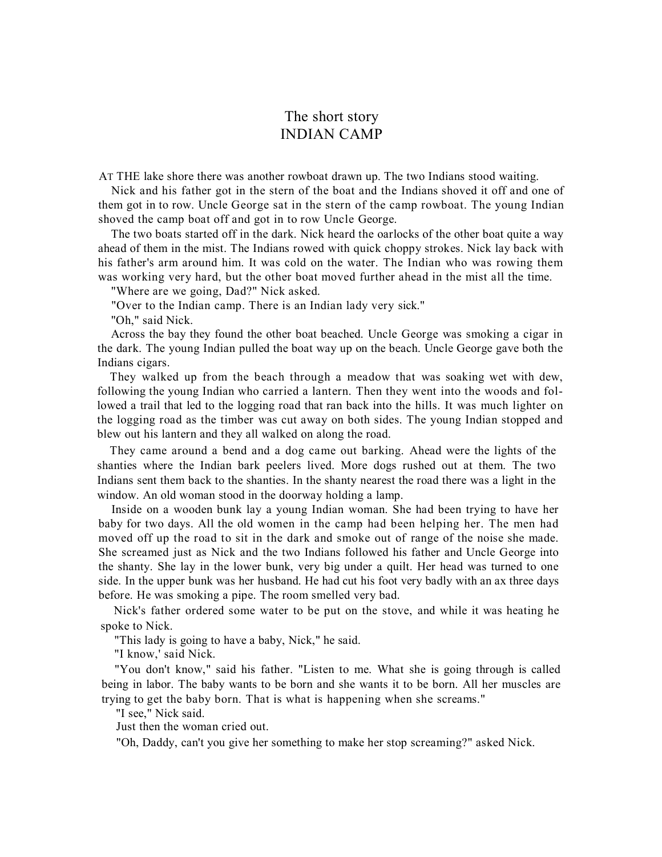## The short story INDIAN CAMP

AT THE lake shore there was another rowboat drawn up. The two Indians stood waiting.

Nick and his father got in the stern of the boat and the Indians shoved it off and one of them got in to row. Uncle George sat in the stern of the camp rowboat. The young Indian shoved the camp boat off and got in to row Uncle George.

The two boats started off in the dark. Nick heard the oarlocks of the other boat quite a way ahead of them in the mist. The Indians rowed with quick choppy strokes. Nick lay back with his father's arm around him. It was cold on the water. The Indian who was rowing them was working very hard, but the other boat moved further ahead in the mist all the time.

"Where are we going, Dad?" Nick asked.

"Over to the Indian camp. There is an Indian lady very sick."

"Oh," said Nick.

Across the bay they found the other boat beached. Uncle George was smoking a cigar in the dark. The young Indian pulled the boat way up on the beach. Uncle George gave both the Indians cigars.

They walked up from the beach through a meadow that was soaking wet with dew, following the young Indian who carried a lantern. Then they went into the woods and followed a trail that led to the logging road that ran back into the hills. It was much lighter on the logging road as the timber was cut away on both sides. The young Indian stopped and blew out his lantern and they all walked on along the road.

They came around a bend and a dog came out barking. Ahead were the lights of the shanties where the Indian bark peelers lived. More dogs rushed out at them. The two Indians sent them back to the shanties. In the shanty nearest the road there was a light in the window. An old woman stood in the doorway holding a lamp.

Inside on a wooden bunk lay a young Indian woman. She had been trying to have her baby for two days. All the old women in the camp had been helping her. The men had moved off up the road to sit in the dark and smoke out of range of the noise she made. She screamed just as Nick and the two Indians followed his father and Uncle George into the shanty. She lay in the lower bunk, very big under a quilt. Her head was turned to one side. In the upper bunk was her husband. He had cut his foot very badly with an ax three days before. He was smoking a pipe. The room smelled very bad.

Nick's father ordered some water to be put on the stove, and while it was heating he spoke to Nick.

"This lady is going to have a baby, Nick," he said.

"I know,' said Nick.

"You don't know," said his father. "Listen to me. What she is going through is called being in labor. The baby wants to be born and she wants it to be born. All her muscles are trying to get the baby born. That is what is happening when she screams."

"I see," Nick said.

Just then the woman cried out.

"Oh, Daddy, can't you give her something to make her stop screaming?" asked Nick.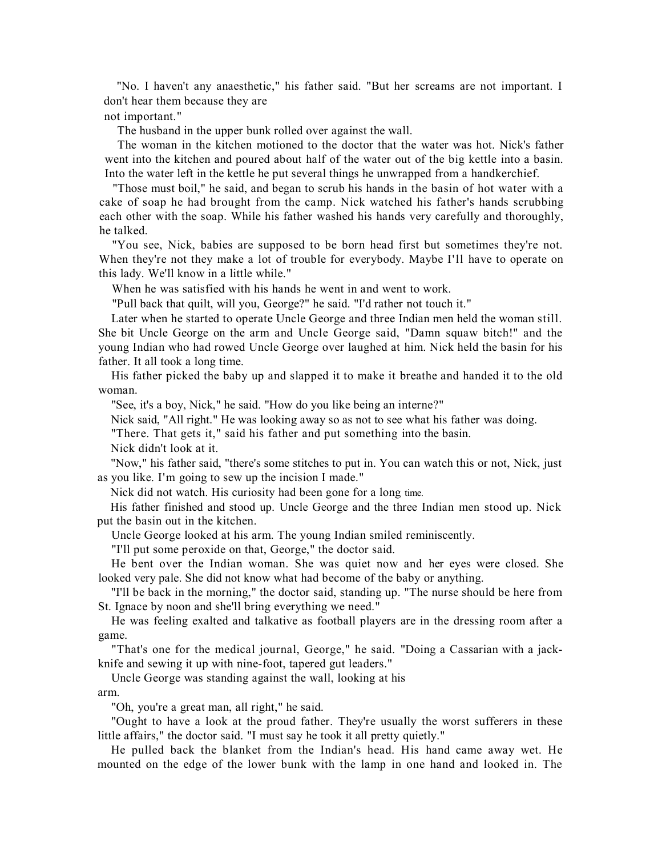"No. I haven't any anaesthetic," his father said. "But her screams are not important. I don't hear them because they are

not important."

The husband in the upper bunk rolled over against the wall.

The woman in the kitchen motioned to the doctor that the water was hot. Nick's father went into the kitchen and poured about half of the water out of the big kettle into a basin. Into the water left in the kettle he put several things he unwrapped from a handkerchief.

"Those must boil," he said, and began to scrub his hands in the basin of hot water with a cake of soap he had brought from the camp. Nick watched his father's hands scrubbing each other with the soap. While his father washed his hands very carefully and thoroughly, he talked.

"You see, Nick, babies are supposed to be born head first but sometimes they're not. When they're not they make a lot of trouble for everybody. Maybe I'll have to operate on this lady. We'll know in a little while."

When he was satisfied with his hands he went in and went to work.

"Pull back that quilt, will you, George?" he said. "I'd rather not touch it."

Later when he started to operate Uncle George and three Indian men held the woman still. She bit Uncle George on the arm and Uncle George said, "Damn squaw bitch!" and the young Indian who had rowed Uncle George over laughed at him. Nick held the basin for his father. It all took a long time.

His father picked the baby up and slapped it to make it breathe and handed it to the old woman.

"See, it's a boy, Nick," he said. "How do you like being an interne?"

Nick said, "All right." He was looking away so as not to see what his father was doing.

"There. That gets it," said his father and put something into the basin.

Nick didn't look at it.

"Now," his father said, "there's some stitches to put in. You can watch this or not, Nick, just as you like. I'm going to sew up the incision I made."

Nick did not watch. His curiosity had been gone for a long time.

His father finished and stood up. Uncle George and the three Indian men stood up. Nick put the basin out in the kitchen.

Uncle George looked at his arm. The young Indian smiled reminiscently.

"I'll put some peroxide on that, George," the doctor said.

He bent over the Indian woman. She was quiet now and her eyes were closed. She looked very pale. She did not know what had become of the baby or anything.

"I'll be back in the morning," the doctor said, standing up. "The nurse should be here from St. Ignace by noon and she'll bring everything we need."

He was feeling exalted and talkative as football players are in the dressing room after a game.

"That's one for the medical journal, George," he said. "Doing a Cassarian with a jackknife and sewing it up with nine-foot, tapered gut leaders."

Uncle George was standing against the wall, looking at his

arm.

"Oh, you're a great man, all right," he said.

"Ought to have a look at the proud father. They're usually the worst sufferers in these little affairs," the doctor said. "I must say he took it all pretty quietly."

He pulled back the blanket from the Indian's head. His hand came away wet. He mounted on the edge of the lower bunk with the lamp in one hand and looked in. The